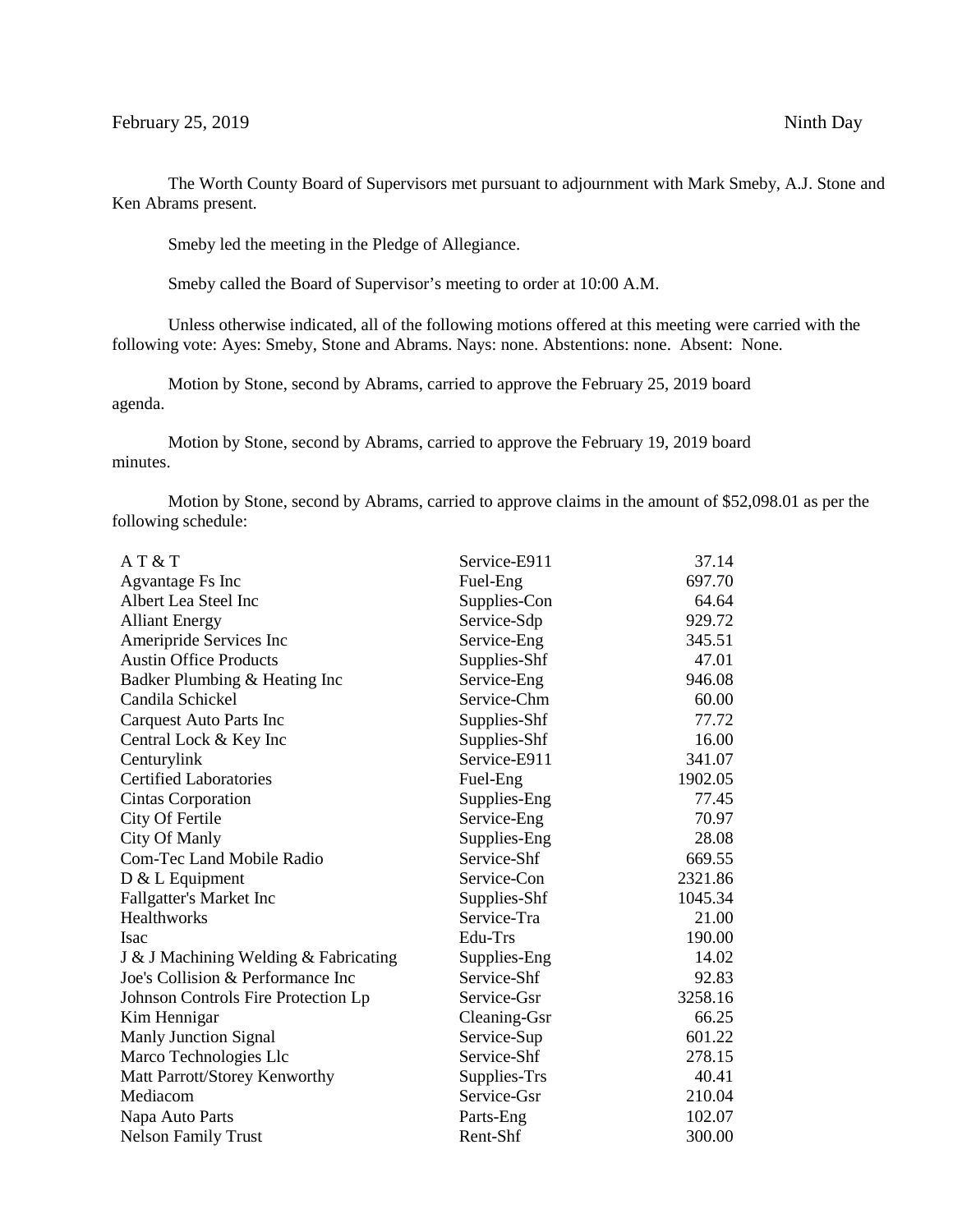The Worth County Board of Supervisors met pursuant to adjournment with Mark Smeby, A.J. Stone and Ken Abrams present.

Smeby led the meeting in the Pledge of Allegiance.

Smeby called the Board of Supervisor's meeting to order at 10:00 A.M.

Unless otherwise indicated, all of the following motions offered at this meeting were carried with the following vote: Ayes: Smeby, Stone and Abrams. Nays: none. Abstentions: none. Absent: None.

Motion by Stone, second by Abrams, carried to approve the February 25, 2019 board agenda.

Motion by Stone, second by Abrams, carried to approve the February 19, 2019 board minutes.

Motion by Stone, second by Abrams, carried to approve claims in the amount of \$52,098.01 as per the following schedule:

| A T & T                               | Service-E911 | 37.14   |
|---------------------------------------|--------------|---------|
| Agvantage Fs Inc                      | Fuel-Eng     | 697.70  |
| Albert Lea Steel Inc                  | Supplies-Con | 64.64   |
| <b>Alliant Energy</b>                 | Service-Sdp  | 929.72  |
| Ameripride Services Inc               | Service-Eng  | 345.51  |
| <b>Austin Office Products</b>         | Supplies-Shf | 47.01   |
| Badker Plumbing & Heating Inc         | Service-Eng  | 946.08  |
| Candila Schickel                      | Service-Chm  | 60.00   |
| Carquest Auto Parts Inc               | Supplies-Shf | 77.72   |
| Central Lock & Key Inc                | Supplies-Shf | 16.00   |
| Centurylink                           | Service-E911 | 341.07  |
| <b>Certified Laboratories</b>         | Fuel-Eng     | 1902.05 |
| <b>Cintas Corporation</b>             | Supplies-Eng | 77.45   |
| City Of Fertile                       | Service-Eng  | 70.97   |
| City Of Manly                         | Supplies-Eng | 28.08   |
| Com-Tec Land Mobile Radio             | Service-Shf  | 669.55  |
| $D & L$ Equipment                     | Service-Con  | 2321.86 |
| Fallgatter's Market Inc               | Supplies-Shf | 1045.34 |
| Healthworks                           | Service-Tra  | 21.00   |
| Isac                                  | Edu-Trs      | 190.00  |
| J & J Machining Welding & Fabricating | Supplies-Eng | 14.02   |
| Joe's Collision & Performance Inc     | Service-Shf  | 92.83   |
| Johnson Controls Fire Protection Lp   | Service-Gsr  | 3258.16 |
| Kim Hennigar                          | Cleaning-Gsr | 66.25   |
| <b>Manly Junction Signal</b>          | Service-Sup  | 601.22  |
| Marco Technologies Llc                | Service-Shf  | 278.15  |
| Matt Parrott/Storey Kenworthy         | Supplies-Trs | 40.41   |
| Mediacom                              | Service-Gsr  | 210.04  |
| Napa Auto Parts                       | Parts-Eng    | 102.07  |
| <b>Nelson Family Trust</b>            | Rent-Shf     | 300.00  |